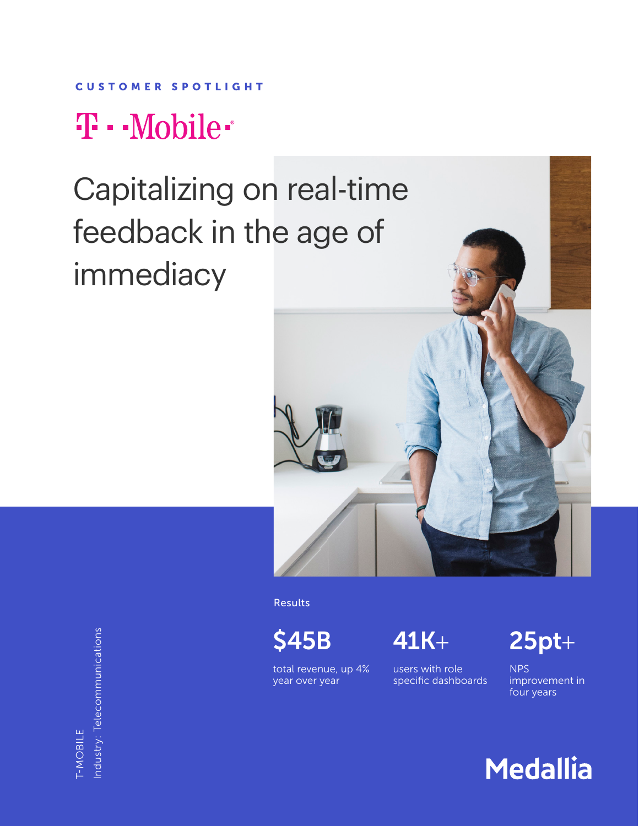### CUSTOMER SPOTLIGHT

## T · · Mobile ·

# Capitalizing on real-time feedback in the age of immediacy



ndustry: Telecommunications Industry: Telecommunications **F-MOBILE** T-MOBILE

Results

total revenue, up 4% year over year

users with role specific dashboards

\$45B 41K+ 25pt+

NPS improvement in four years

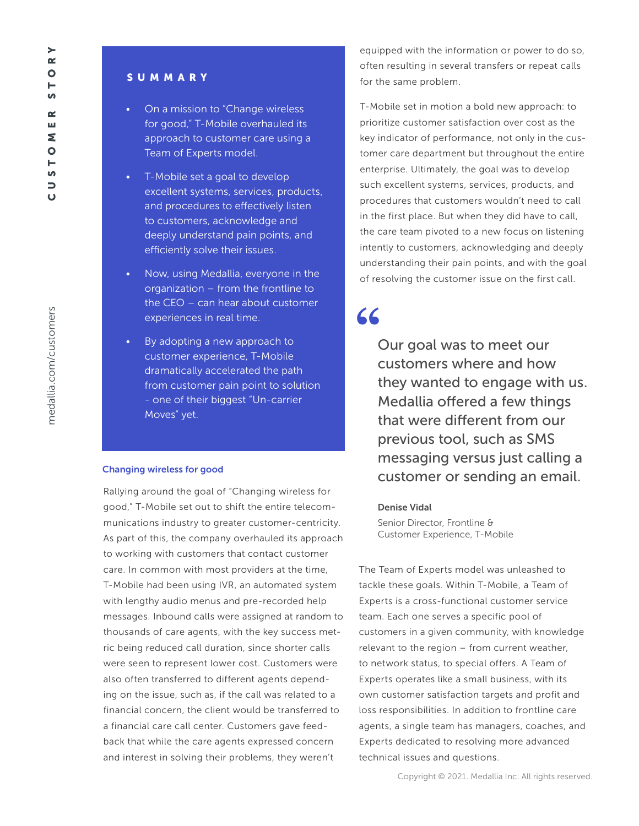# medallia.com/customers medallia.com/customers

### **SUMMARY**

- On a mission to "Change wireless for good," T-Mobile overhauled its approach to customer care using a Team of Experts model.
- T-Mobile set a goal to develop excellent systems, services, products, and procedures to effectively listen to customers, acknowledge and deeply understand pain points, and efficiently solve their issues.
- Now, using Medallia, everyone in the organization – from the frontline to the CEO – can hear about customer experiences in real time.
- By adopting a new approach to customer experience, T-Mobile dramatically accelerated the path from customer pain point to solution - one of their biggest "Un-carrier Moves" yet.

### Changing wireless for good

Rallying around the goal of "Changing wireless for good," T-Mobile set out to shift the entire telecommunications industry to greater customer-centricity. As part of this, the company overhauled its approach to working with customers that contact customer care. In common with most providers at the time, T-Mobile had been using IVR, an automated system with lengthy audio menus and pre-recorded help messages. Inbound calls were assigned at random to thousands of care agents, with the key success metric being reduced call duration, since shorter calls were seen to represent lower cost. Customers were also often transferred to different agents depending on the issue, such as, if the call was related to a financial concern, the client would be transferred to a financial care call center. Customers gave feedback that while the care agents expressed concern and interest in solving their problems, they weren't

equipped with the information or power to do so, often resulting in several transfers or repeat calls for the same problem.

T-Mobile set in motion a bold new approach: to prioritize customer satisfaction over cost as the key indicator of performance, not only in the customer care department but throughout the entire enterprise. Ultimately, the goal was to develop such excellent systems, services, products, and procedures that customers wouldn't need to call in the first place. But when they did have to call, the care team pivoted to a new focus on listening intently to customers, acknowledging and deeply understanding their pain points, and with the goal of resolving the customer issue on the first call.

### **"**

Our goal was to meet our customers where and how they wanted to engage with us. Medallia offered a few things that were different from our previous tool, such as SMS messaging versus just calling a customer or sending an email.

### Denise Vidal

Senior Director, Frontline & Customer Experience, T-Mobile

The Team of Experts model was unleashed to tackle these goals. Within T-Mobile, a Team of Experts is a cross-functional customer service team. Each one serves a specific pool of customers in a given community, with knowledge relevant to the region – from current weather, to network status, to special offers. A Team of Experts operates like a small business, with its own customer satisfaction targets and profit and loss responsibilities. In addition to frontline care agents, a single team has managers, coaches, and Experts dedicated to resolving more advanced technical issues and questions.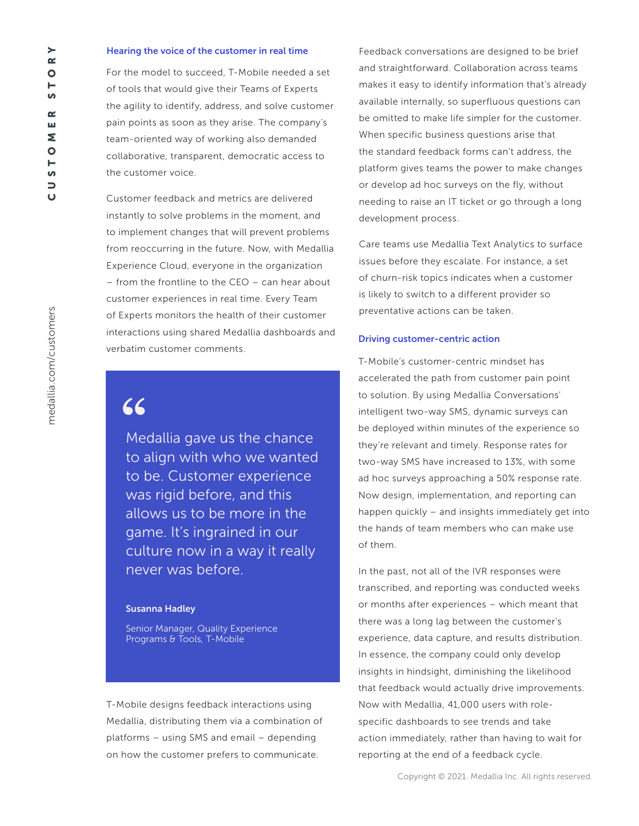For the model to succeed, T-Mobile needed a set of tools that would give their Teams of Experts the agility to identify, address, and solve customer pain points as soon as they arise. The company's team-oriented way of working also demanded collaborative, transparent, democratic access to the customer voice.

Customer feedback and metrics are delivered instantly to solve problems in the moment, and to implement changes that will prevent problems from reoccurring in the future. Now, with Medallia Experience Cloud, everyone in the organization – from the frontline to the CEO – can hear about customer experiences in real time. Every Team of Experts monitors the health of their customer interactions using shared Medallia dashboards and verbatim customer comments.

### **"**

Medallia gave us the chance to align with who we wanted to be. Customer experience was rigid before, and this allows us to be more in the game. It's ingrained in our culture now in a way it really never was before.

#### Susanna Hadley

Senior Manager, Quality Experience Programs & Tools, T-Mobile

T-Mobile designs feedback interactions using Medallia, distributing them via a combination of platforms – using SMS and email – depending on how the customer prefers to communicate.

Feedback conversations are designed to be brief and straightforward. Collaboration across teams makes it easy to identify information that's already available internally, so superfluous questions can be omitted to make life simpler for the customer. When specific business questions arise that the standard feedback forms can't address, the platform gives teams the power to make changes or develop ad hoc surveys on the fly, without needing to raise an IT ticket or go through a long development process.

Care teams use Medallia Text Analytics to surface issues before they escalate. For instance, a set of churn-risk topics indicates when a customer is likely to switch to a different provider so preventative actions can be taken.

#### Driving customer-centric action

T-Mobile's customer-centric mindset has accelerated the path from customer pain point to solution. By using Medallia Conversations' intelligent two-way SMS, dynamic surveys can be deployed within minutes of the experience so they're relevant and timely. Response rates for two-way SMS have increased to 13%, with some ad hoc surveys approaching a 50% response rate. Now design, implementation, and reporting can happen quickly – and insights immediately get into the hands of team members who can make use of them.

In the past, not all of the IVR responses were transcribed, and reporting was conducted weeks or months after experiences – which meant that there was a long lag between the customer's experience, data capture, and results distribution. In essence, the company could only develop insights in hindsight, diminishing the likelihood that feedback would actually drive improvements. Now with Medallia, 41,000 users with rolespecific dashboards to see trends and take action immediately, rather than having to wait for reporting at the end of a feedback cycle.

 $\geq$  $\sim$